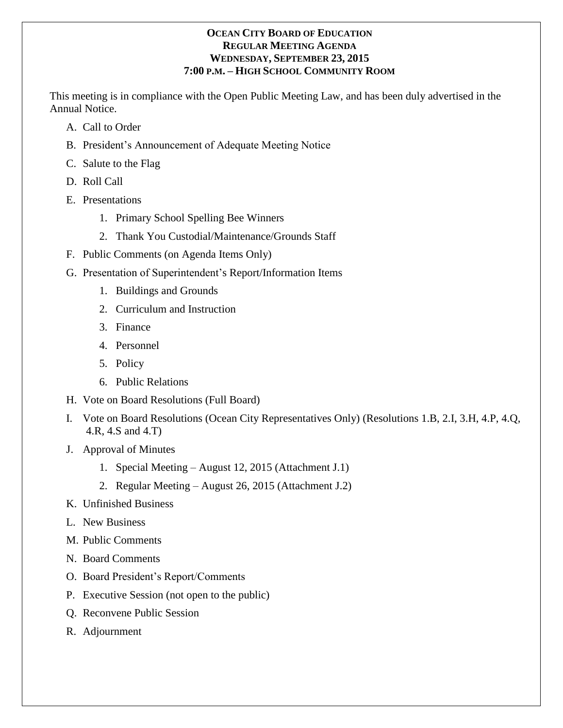### **OCEAN CITY BOARD OF EDUCATION REGULAR MEETING AGENDA WEDNESDAY, SEPTEMBER 23, 2015 7:00 P.M. – HIGH SCHOOL COMMUNITY ROOM**

This meeting is in compliance with the Open Public Meeting Law, and has been duly advertised in the Annual Notice.

- A. Call to Order
- B. President's Announcement of Adequate Meeting Notice
- C. Salute to the Flag
- D. Roll Call
- E. Presentations
	- 1. Primary School Spelling Bee Winners
	- 2. Thank You Custodial/Maintenance/Grounds Staff
- F. Public Comments (on Agenda Items Only)
- G. Presentation of Superintendent's Report/Information Items
	- 1. Buildings and Grounds
	- 2. Curriculum and Instruction
	- 3. Finance
	- 4. Personnel
	- 5. Policy
	- 6. Public Relations
- H. Vote on Board Resolutions (Full Board)
- I. Vote on Board Resolutions (Ocean City Representatives Only) (Resolutions 1.B, 2.I, 3.H, 4.P, 4.Q, 4.R, 4.S and 4.T)
- J. Approval of Minutes
	- 1. Special Meeting August 12, 2015 (Attachment J.1)
	- 2. Regular Meeting August 26, 2015 (Attachment J.2)
- K. Unfinished Business
- L. New Business
- M. Public Comments
- N. Board Comments
- O. Board President's Report/Comments
- P. Executive Session (not open to the public)
- Q. Reconvene Public Session
- R. Adjournment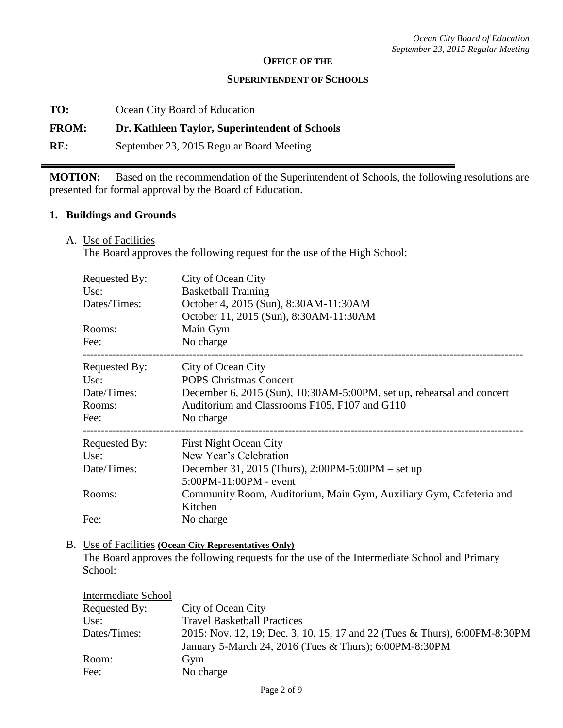#### **OFFICE OF THE**

#### **SUPERINTENDENT OF SCHOOLS**

**TO:** Ocean City Board of Education

#### **FROM: Dr. Kathleen Taylor, Superintendent of Schools**

**RE:** September 23, 2015 Regular Board Meeting

**MOTION:** Based on the recommendation of the Superintendent of Schools, the following resolutions are presented for formal approval by the Board of Education.

#### **1. Buildings and Grounds**

A. Use of Facilities

The Board approves the following request for the use of the High School:

| Requested By:<br>Use:<br>Dates/Times:                  | City of Ocean City<br><b>Basketball Training</b><br>October 4, 2015 (Sun), 8:30AM-11:30AM<br>October 11, 2015 (Sun), 8:30AM-11:30AM                                                        |
|--------------------------------------------------------|--------------------------------------------------------------------------------------------------------------------------------------------------------------------------------------------|
| Rooms:<br>Fee:                                         | Main Gym<br>No charge                                                                                                                                                                      |
| Requested By:<br>Use:<br>Date/Times:<br>Rooms:<br>Fee: | City of Ocean City<br><b>POPS Christmas Concert</b><br>December 6, 2015 (Sun), 10:30AM-5:00PM, set up, rehearsal and concert<br>Auditorium and Classrooms F105, F107 and G110<br>No charge |
| Requested By:<br>Use:                                  | <b>First Night Ocean City</b><br>New Year's Celebration                                                                                                                                    |
| Date/Times:                                            | December 31, 2015 (Thurs), 2:00PM-5:00PM – set up<br>$5:00PM - 11:00PM - event$                                                                                                            |
| Rooms:                                                 | Community Room, Auditorium, Main Gym, Auxiliary Gym, Cafeteria and<br>Kitchen                                                                                                              |
| Fee:                                                   | No charge                                                                                                                                                                                  |

#### B. Use of Facilities **(Ocean City Representatives Only)**

The Board approves the following requests for the use of the Intermediate School and Primary School:

| Intermediate School |                                                                                                                                      |
|---------------------|--------------------------------------------------------------------------------------------------------------------------------------|
| Requested By:       | City of Ocean City                                                                                                                   |
| Use:                | <b>Travel Basketball Practices</b>                                                                                                   |
| Dates/Times:        | 2015: Nov. 12, 19; Dec. 3, 10, 15, 17 and 22 (Tues & Thurs), 6:00PM-8:30PM<br>January 5-March 24, 2016 (Tues & Thurs); 6:00PM-8:30PM |
| Room:               | Gym                                                                                                                                  |
| Fee:                | No charge                                                                                                                            |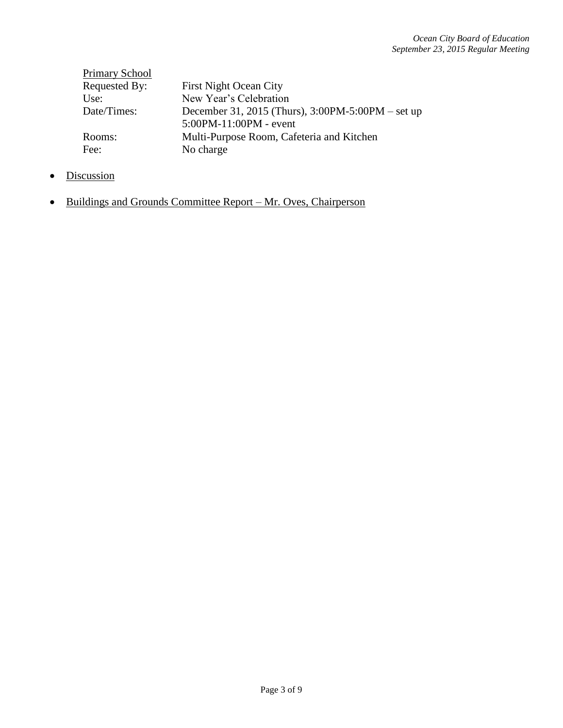| <b>Primary School</b> |                                                   |
|-----------------------|---------------------------------------------------|
| Requested By:         | <b>First Night Ocean City</b>                     |
| Use:                  | New Year's Celebration                            |
| Date/Times:           | December 31, 2015 (Thurs), 3:00PM-5:00PM – set up |
|                       | 5:00PM-11:00PM - event                            |
| Rooms:                | Multi-Purpose Room, Cafeteria and Kitchen         |
| Fee:                  | No charge                                         |

- Discussion
- Buildings and Grounds Committee Report Mr. Oves, Chairperson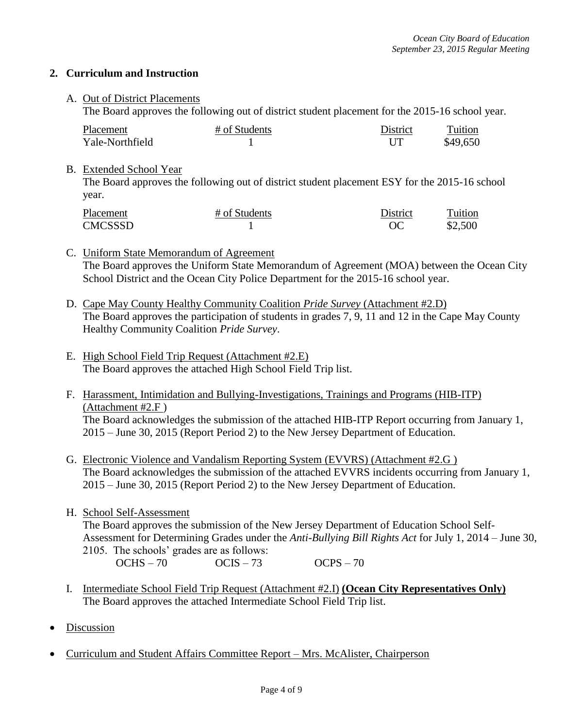#### **2. Curriculum and Instruction**

### A. Out of District Placements

The Board approves the following out of district student placement for the 2015-16 school year.

| Placement       | # of Students | <b>District</b> | Tuition  |
|-----------------|---------------|-----------------|----------|
| Yale-Northfield |               |                 | \$49,650 |

#### B. Extended School Year

The Board approves the following out of district student placement ESY for the 2015-16 school year.

| Placement      | # of Students | District | Tuition |
|----------------|---------------|----------|---------|
| <b>CMCSSSD</b> |               | ОC       | \$2,500 |

## C. Uniform State Memorandum of Agreement The Board approves the Uniform State Memorandum of Agreement (MOA) between the Ocean City School District and the Ocean City Police Department for the 2015-16 school year.

- D. Cape May County Healthy Community Coalition *Pride Survey* (Attachment #2.D) The Board approves the participation of students in grades 7, 9, 11 and 12 in the Cape May County Healthy Community Coalition *Pride Survey*.
- E. High School Field Trip Request (Attachment #2.E) The Board approves the attached High School Field Trip list.
- F. Harassment, Intimidation and Bullying-Investigations, Trainings and Programs (HIB-ITP) (Attachment #2.F ) The Board acknowledges the submission of the attached HIB-ITP Report occurring from January 1, 2015 – June 30, 2015 (Report Period 2) to the New Jersey Department of Education.
- G. Electronic Violence and Vandalism Reporting System (EVVRS) (Attachment #2.G ) The Board acknowledges the submission of the attached EVVRS incidents occurring from January 1, 2015 – June 30, 2015 (Report Period 2) to the New Jersey Department of Education.
- H. School Self-Assessment

The Board approves the submission of the New Jersey Department of Education School Self-Assessment for Determining Grades under the *Anti-Bullying Bill Rights Act* for July 1, 2014 – June 30, 2105. The schools' grades are as follows:

 $OCHS - 70$   $OCIS - 73$   $OCPS - 70$ 

- I. Intermediate School Field Trip Request (Attachment #2.I) **(Ocean City Representatives Only)** The Board approves the attached Intermediate School Field Trip list.
- Discussion
- Curriculum and Student Affairs Committee Report Mrs. McAlister, Chairperson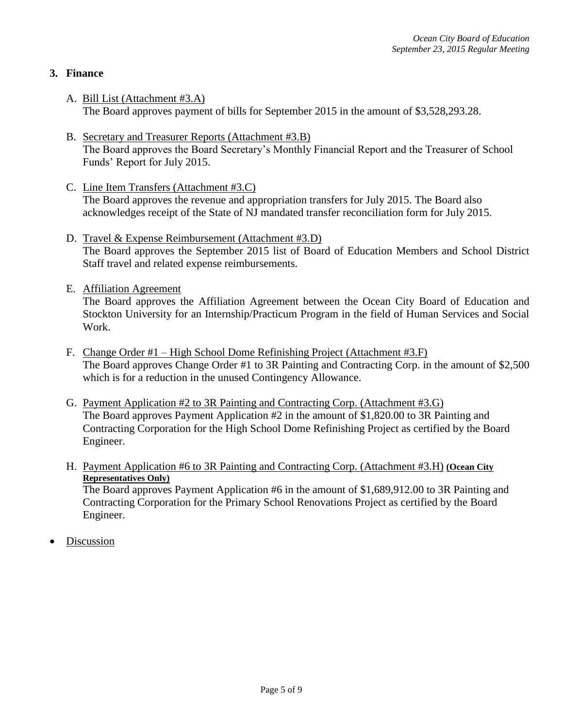## **3. Finance**

- A. Bill List (Attachment #3.A) The Board approves payment of bills for September 2015 in the amount of \$3,528,293.28.
- B. Secretary and Treasurer Reports (Attachment #3.B) The Board approves the Board Secretary's Monthly Financial Report and the Treasurer of School Funds' Report for July 2015.
- C. Line Item Transfers (Attachment #3.C) The Board approves the revenue and appropriation transfers for July 2015. The Board also acknowledges receipt of the State of NJ mandated transfer reconciliation form for July 2015.
- D. Travel & Expense Reimbursement (Attachment #3.D) The Board approves the September 2015 list of Board of Education Members and School District Staff travel and related expense reimbursements.
- E. Affiliation Agreement

The Board approves the Affiliation Agreement between the Ocean City Board of Education and Stockton University for an Internship/Practicum Program in the field of Human Services and Social Work.

- F. Change Order #1 High School Dome Refinishing Project (Attachment #3.F) The Board approves Change Order #1 to 3R Painting and Contracting Corp. in the amount of \$2,500 which is for a reduction in the unused Contingency Allowance.
- G. Payment Application #2 to 3R Painting and Contracting Corp. (Attachment #3.G) The Board approves Payment Application #2 in the amount of \$1,820.00 to 3R Painting and Contracting Corporation for the High School Dome Refinishing Project as certified by the Board Engineer.
- H. Payment Application #6 to 3R Painting and Contracting Corp. (Attachment #3.H) **(Ocean City Representatives Only)**

The Board approves Payment Application #6 in the amount of \$1,689,912.00 to 3R Painting and Contracting Corporation for the Primary School Renovations Project as certified by the Board Engineer.

Discussion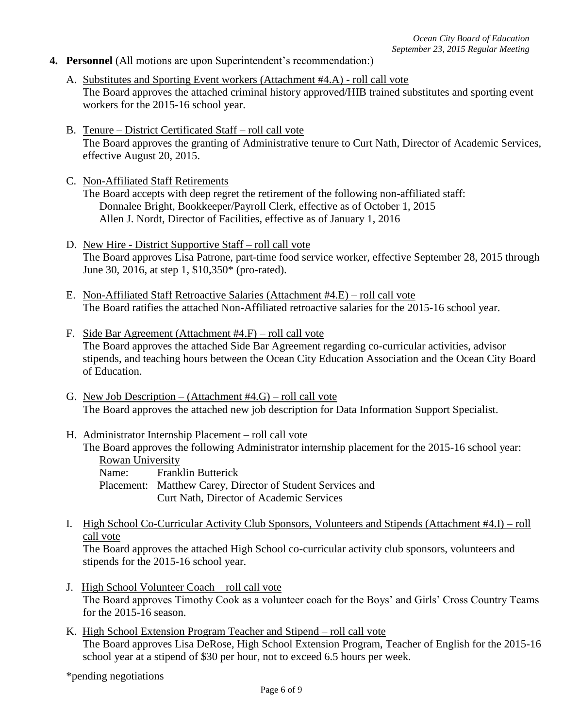- **4. Personnel** (All motions are upon Superintendent's recommendation:)
	- A. Substitutes and Sporting Event workers (Attachment #4.A) roll call vote The Board approves the attached criminal history approved/HIB trained substitutes and sporting event workers for the 2015-16 school year.
	- B. Tenure District Certificated Staff roll call vote The Board approves the granting of Administrative tenure to Curt Nath, Director of Academic Services, effective August 20, 2015.
	- C. Non-Affiliated Staff Retirements
		- The Board accepts with deep regret the retirement of the following non-affiliated staff: Donnalee Bright, Bookkeeper/Payroll Clerk, effective as of October 1, 2015 Allen J. Nordt, Director of Facilities, effective as of January 1, 2016
	- D. New Hire District Supportive Staff roll call vote The Board approves Lisa Patrone, part-time food service worker, effective September 28, 2015 through June 30, 2016, at step 1, \$10,350\* (pro-rated).
	- E. Non-Affiliated Staff Retroactive Salaries (Attachment #4.E) roll call vote The Board ratifies the attached Non-Affiliated retroactive salaries for the 2015-16 school year.
	- F. Side Bar Agreement (Attachment #4.F) roll call vote The Board approves the attached Side Bar Agreement regarding co-curricular activities, advisor stipends, and teaching hours between the Ocean City Education Association and the Ocean City Board of Education.
	- G. New Job Description (Attachment #4.G) roll call vote The Board approves the attached new job description for Data Information Support Specialist.
	- H. Administrator Internship Placement roll call vote The Board approves the following Administrator internship placement for the 2015-16 school year: Rowan University

Name: Franklin Butterick Placement: Matthew Carey, Director of Student Services and Curt Nath, Director of Academic Services

I. High School Co-Curricular Activity Club Sponsors, Volunteers and Stipends (Attachment #4.I) – roll call vote

The Board approves the attached High School co-curricular activity club sponsors, volunteers and stipends for the 2015-16 school year.

- J. High School Volunteer Coach roll call vote The Board approves Timothy Cook as a volunteer coach for the Boys' and Girls' Cross Country Teams for the 2015-16 season.
- K. High School Extension Program Teacher and Stipend roll call vote The Board approves Lisa DeRose, High School Extension Program, Teacher of English for the 2015-16 school year at a stipend of \$30 per hour, not to exceed 6.5 hours per week.

\*pending negotiations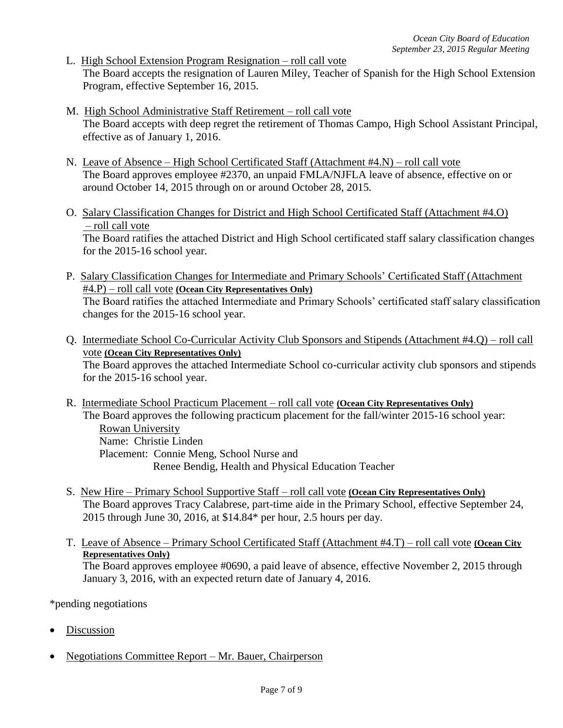- L. High School Extension Program Resignation roll call vote The Board accepts the resignation of Lauren Miley, Teacher of Spanish for the High School Extension Program, effective September 16, 2015.
- M. High School Administrative Staff Retirement roll call vote The Board accepts with deep regret the retirement of Thomas Campo, High School Assistant Principal, effective as of January 1, 2016.
- N. Leave of Absence High School Certificated Staff (Attachment #4.N) roll call vote The Board approves employee #2370, an unpaid FMLA/NJFLA leave of absence, effective on or around October 14, 2015 through on or around October 28, 2015.
- O. Salary Classification Changes for District and High School Certificated Staff (Attachment #4.O) – roll call vote The Board ratifies the attached District and High School certificated staff salary classification changes for the 2015-16 school year.
- P. Salary Classification Changes for Intermediate and Primary Schools' Certificated Staff (Attachment #4.P) – roll call vote **(Ocean City Representatives Only)** The Board ratifies the attached Intermediate and Primary Schools' certificated staff salary classification changes for the 2015-16 school year.
- Q. Intermediate School Co-Curricular Activity Club Sponsors and Stipends (Attachment #4.Q) roll call vote **(Ocean City Representatives Only)** The Board approves the attached Intermediate School co-curricular activity club sponsors and stipends for the 2015-16 school year.
- R. Intermediate School Practicum Placement roll call vote **(Ocean City Representatives Only)** The Board approves the following practicum placement for the fall/winter 2015-16 school year: Rowan University Name: Christie Linden Placement: Connie Meng, School Nurse and Renee Bendig, Health and Physical Education Teacher
- S. New Hire Primary School Supportive Staff roll call vote **(Ocean City Representatives Only)** The Board approves Tracy Calabrese, part-time aide in the Primary School, effective September 24, 2015 through June 30, 2016, at \$14.84\* per hour, 2.5 hours per day.
- T. Leave of Absence Primary School Certificated Staff (Attachment #4.T) roll call vote **(Ocean City Representatives Only)** The Board approves employee #0690, a paid leave of absence, effective November 2, 2015 through January 3, 2016, with an expected return date of January 4, 2016.

\*pending negotiations

- Discussion
- Negotiations Committee Report Mr. Bauer, Chairperson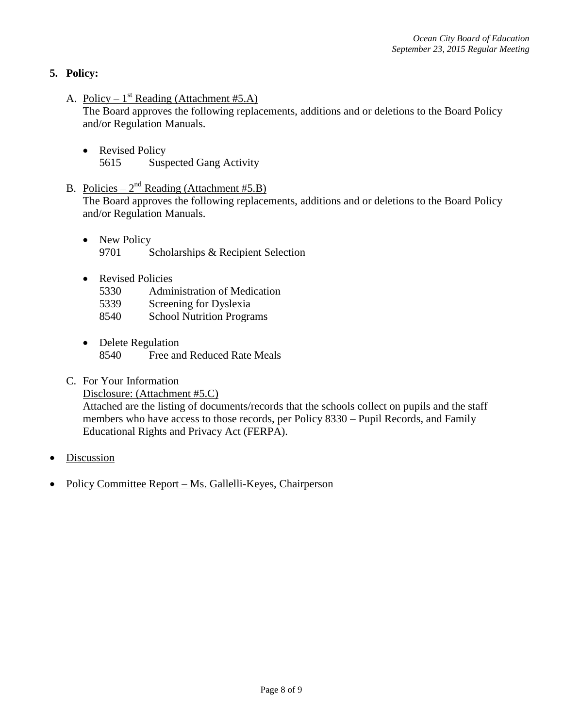## **5. Policy:**

A. Policy –  $1^{st}$  Reading (Attachment #5.A)

The Board approves the following replacements, additions and or deletions to the Board Policy and/or Regulation Manuals.

- Revised Policy 5615 Suspected Gang Activity
- B. Policies  $2^{nd}$  Reading (Attachment #5.B)

The Board approves the following replacements, additions and or deletions to the Board Policy and/or Regulation Manuals.

- New Policy 9701 Scholarships & Recipient Selection
- Revised Policies
	- 5330 Administration of Medication
	- 5339 Screening for Dyslexia
	- 8540 School Nutrition Programs
- Delete Regulation 8540 Free and Reduced Rate Meals
- C. For Your Information
	- Disclosure: (Attachment #5.C)

Attached are the listing of documents/records that the schools collect on pupils and the staff members who have access to those records, per Policy 8330 – Pupil Records, and Family Educational Rights and Privacy Act (FERPA).

- Discussion
- Policy Committee Report Ms. Gallelli-Keyes, Chairperson